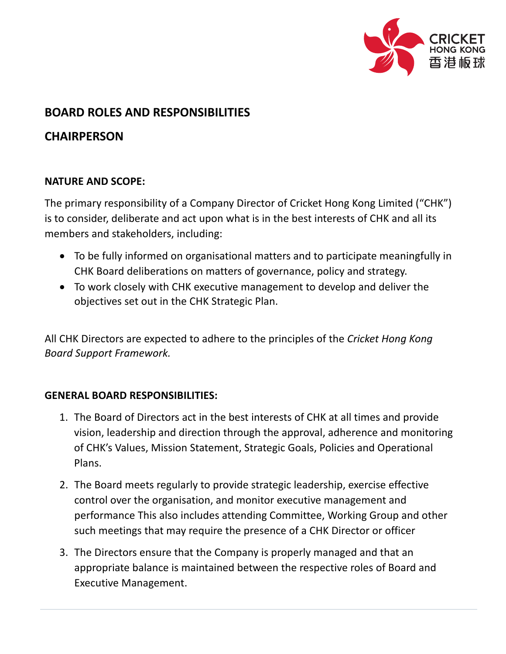

## **BOARD ROLES AND RESPONSIBILITIES**

# **CHAIRPERSON**

### **NATURE AND SCOPE:**

The primary responsibility of a Company Director of Cricket Hong Kong Limited ("CHK") is to consider, deliberate and act upon what is in the best interests of CHK and all its members and stakeholders, including:

- To be fully informed on organisational matters and to participate meaningfully in CHK Board deliberations on matters of governance, policy and strategy.
- To work closely with CHK executive management to develop and deliver the objectives set out in the CHK Strategic Plan.

All CHK Directors are expected to adhere to the principles of the *Cricket Hong Kong Board Support Framework.*

### **GENERAL BOARD RESPONSIBILITIES:**

- 1. The Board of Directors act in the best interests of CHK at all times and provide vision, leadership and direction through the approval, adherence and monitoring of CHK's Values, Mission Statement, Strategic Goals, Policies and Operational Plans.
- 2. The Board meets regularly to provide strategic leadership, exercise effective control over the organisation, and monitor executive management and performance This also includes attending Committee, Working Group and other such meetings that may require the presence of a CHK Director or officer
- 3. The Directors ensure that the Company is properly managed and that an appropriate balance is maintained between the respective roles of Board and Executive Management.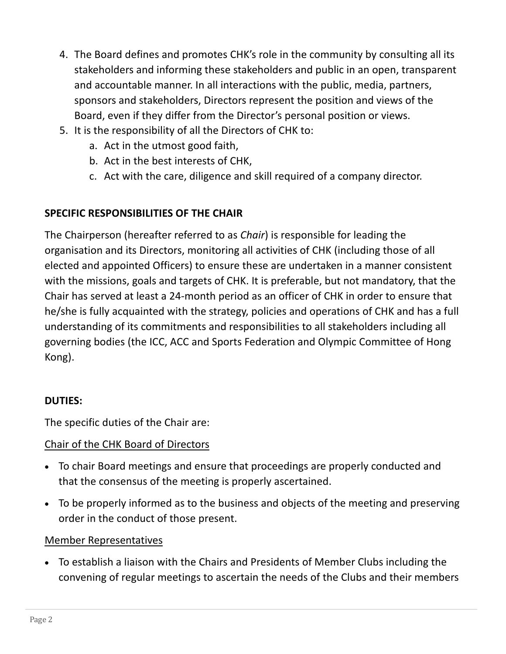- 4. The Board defines and promotes CHK's role in the community by consulting all its stakeholders and informing these stakeholders and public in an open, transparent and accountable manner. In all interactions with the public, media, partners, sponsors and stakeholders, Directors represent the position and views of the Board, even if they differ from the Director's personal position or views.
- 5. It is the responsibility of all the Directors of CHK to:
	- a. Act in the utmost good faith,
	- b. Act in the best interests of CHK,
	- c. Act with the care, diligence and skill required of a company director.

## **SPECIFIC RESPONSIBILITIES OF THE CHAIR**

The Chairperson (hereafter referred to as *Chair*) is responsible for leading the organisation and its Directors, monitoring all activities of CHK (including those of all elected and appointed Officers) to ensure these are undertaken in a manner consistent with the missions, goals and targets of CHK. It is preferable, but not mandatory, that the Chair has served at least a 24-month period as an officer of CHK in order to ensure that he/she is fully acquainted with the strategy, policies and operations of CHK and has a full understanding of its commitments and responsibilities to all stakeholders including all governing bodies (the ICC, ACC and Sports Federation and Olympic Committee of Hong Kong).

### **DUTIES:**

The specific duties of the Chair are:

## Chair of the CHK Board of Directors

- To chair Board meetings and ensure that proceedings are properly conducted and that the consensus of the meeting is properly ascertained.
- To be properly informed as to the business and objects of the meeting and preserving order in the conduct of those present.

### Member Representatives

• To establish a liaison with the Chairs and Presidents of Member Clubs including the convening of regular meetings to ascertain the needs of the Clubs and their members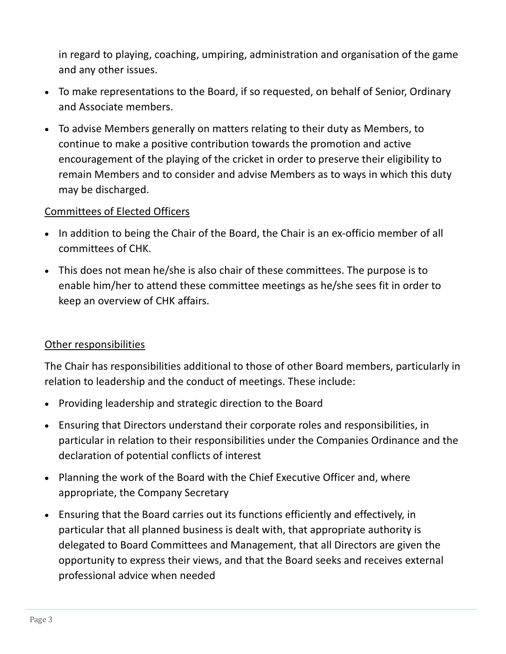in regard to playing, coaching, umpiring, administration and organisation of the game and any other issues.

- To make representations to the Board, if so requested, on behalf of Senior, Ordinary and Associate members.
- To advise Members generally on matters relating to their duty as Members, to continue to make a positive contribution towards the promotion and active encouragement of the playing of the cricket in order to preserve their eligibility to remain Members and to consider and advise Members as to ways in which this duty may be discharged.

#### Committees of Elected Officers

- In addition to being the Chair of the Board, the Chair is an ex-officio member of all committees of CHK.
- This does not mean he/she is also chair of these committees. The purpose is to enable him/her to attend these committee meetings as he/she sees fit in order to keep an overview of CHK affairs.

### Other responsibilities

The Chair has responsibilities additional to those of other Board members, particularly in relation to leadership and the conduct of meetings. These include:

- Providing leadership and strategic direction to the Board
- Ensuring that Directors understand their corporate roles and responsibilities, in particular in relation to their responsibilities under the Companies Ordinance and the declaration of potential conflicts of interest
- Planning the work of the Board with the Chief Executive Officer and, where appropriate, the Company Secretary
- Ensuring that the Board carries out its functions efficiently and effectively, in particular that all planned business is dealt with, that appropriate authority is delegated to Board Committees and Management, that all Directors are given the opportunity to express their views, and that the Board seeks and receives external professional advice when needed